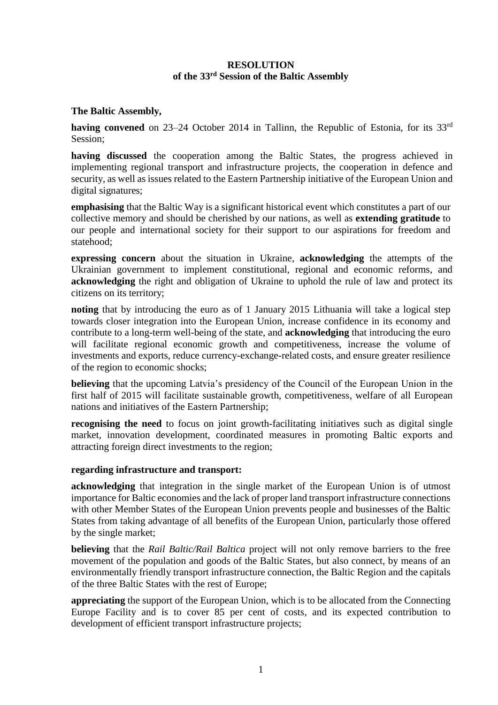# **RESOLUTION of the 33rd Session of the Baltic Assembly**

### **The Baltic Assembly,**

having convened on 23–24 October 2014 in Tallinn, the Republic of Estonia, for its 33<sup>rd</sup> Session;

**having discussed** the cooperation among the Baltic States, the progress achieved in implementing regional transport and infrastructure projects, the cooperation in defence and security, as well as issues related to the Eastern Partnership initiative of the European Union and digital signatures;

**emphasising** that the Baltic Way is a significant historical event which constitutes a part of our collective memory and should be cherished by our nations, as well as **extending gratitude** to our people and international society for their support to our aspirations for freedom and statehood;

**expressing concern** about the situation in Ukraine, **acknowledging** the attempts of the Ukrainian government to implement constitutional, regional and economic reforms, and **acknowledging** the right and obligation of Ukraine to uphold the rule of law and protect its citizens on its territory;

**noting** that by introducing the euro as of 1 January 2015 Lithuania will take a logical step towards closer integration into the European Union, increase confidence in its economy and contribute to a long-term well-being of the state, and **acknowledging** that introducing the euro will facilitate regional economic growth and competitiveness, increase the volume of investments and exports, reduce currency-exchange-related costs, and ensure greater resilience of the region to economic shocks;

**believing** that the upcoming Latvia's presidency of the Council of the European Union in the first half of 2015 will facilitate sustainable growth, competitiveness, welfare of all European nations and initiatives of the Eastern Partnership;

**recognising the need** to focus on joint growth-facilitating initiatives such as digital single market, innovation development, coordinated measures in promoting Baltic exports and attracting foreign direct investments to the region;

#### **regarding infrastructure and transport:**

**acknowledging** that integration in the single market of the European Union is of utmost importance for Baltic economies and the lack of proper land transport infrastructure connections with other Member States of the European Union prevents people and businesses of the Baltic States from taking advantage of all benefits of the European Union, particularly those offered by the single market;

**believing** that the *Rail Baltic/Rail Baltica* project will not only remove barriers to the free movement of the population and goods of the Baltic States, but also connect, by means of an environmentally friendly transport infrastructure connection, the Baltic Region and the capitals of the three Baltic States with the rest of Europe;

**appreciating** the support of the European Union, which is to be allocated from the Connecting Europe Facility and is to cover 85 per cent of costs, and its expected contribution to development of efficient transport infrastructure projects;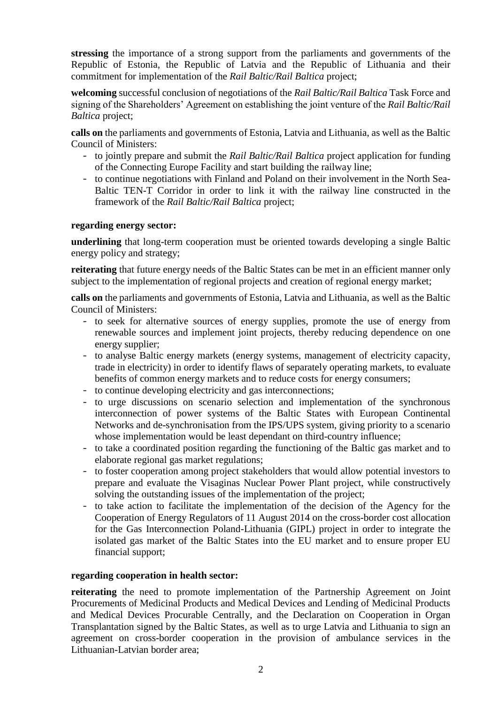**stressing** the importance of a strong support from the parliaments and governments of the Republic of Estonia, the Republic of Latvia and the Republic of Lithuania and their commitment for implementation of the *Rail Baltic/Rail Baltica* project;

**welcoming** successful conclusion of negotiations of the *Rail Baltic/Rail Baltica* Task Force and signing of the Shareholders' Agreement on establishing the joint venture of the *Rail Baltic/Rail Baltica* project;

**calls on** the parliaments and governments of Estonia, Latvia and Lithuania, as well as the Baltic Council of Ministers:

- to jointly prepare and submit the *Rail Baltic/Rail Baltica* project application for funding of the Connecting Europe Facility and start building the railway line;
- to continue negotiations with Finland and Poland on their involvement in the North Sea-Baltic TEN-T Corridor in order to link it with the railway line constructed in the framework of the *Rail Baltic/Rail Baltica* project;

## **regarding energy sector:**

**underlining** that long-term cooperation must be oriented towards developing a single Baltic energy policy and strategy;

**reiterating** that future energy needs of the Baltic States can be met in an efficient manner only subject to the implementation of regional projects and creation of regional energy market;

**calls on** the parliaments and governments of Estonia, Latvia and Lithuania, as well as the Baltic Council of Ministers:

- to seek for alternative sources of energy supplies, promote the use of energy from renewable sources and implement joint projects, thereby reducing dependence on one energy supplier;
- to analyse Baltic energy markets (energy systems, management of electricity capacity, trade in electricity) in order to identify flaws of separately operating markets, to evaluate benefits of common energy markets and to reduce costs for energy consumers;
- to continue developing electricity and gas interconnections;
- to urge discussions on scenario selection and implementation of the synchronous interconnection of power systems of the Baltic States with European Continental Networks and de-synchronisation from the IPS/UPS system, giving priority to a scenario whose implementation would be least dependant on third-country influence;
- to take a coordinated position regarding the functioning of the Baltic gas market and to elaborate regional gas market regulations;
- to foster cooperation among project stakeholders that would allow potential investors to prepare and evaluate the Visaginas Nuclear Power Plant project, while constructively solving the outstanding issues of the implementation of the project;
- to take action to facilitate the implementation of the decision of the Agency for the Cooperation of Energy Regulators of 11 August 2014 on the cross-border cost allocation for the Gas Interconnection Poland-Lithuania (GIPL) project in order to integrate the isolated gas market of the Baltic States into the EU market and to ensure proper EU financial support;

#### **regarding cooperation in health sector:**

**reiterating** the need to promote implementation of the Partnership Agreement on Joint Procurements of Medicinal Products and Medical Devices and Lending of Medicinal Products and Medical Devices Procurable Centrally, and the Declaration on Cooperation in Organ Transplantation signed by the Baltic States, as well as to urge Latvia and Lithuania to sign an agreement on cross-border cooperation in the provision of ambulance services in the Lithuanian-Latvian border area;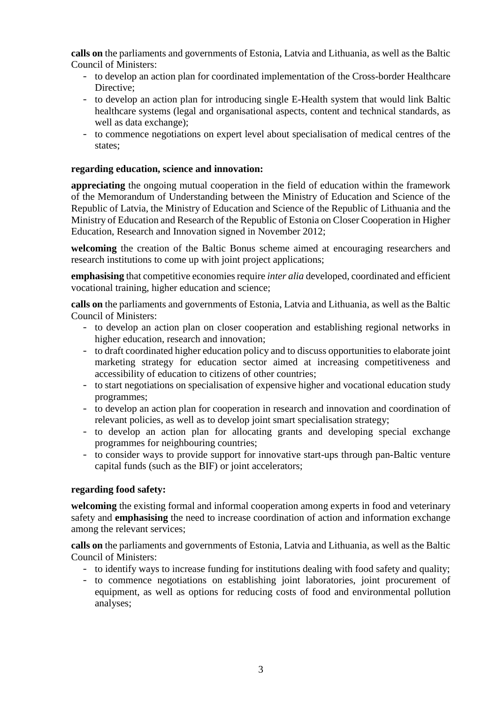**calls on** the parliaments and governments of Estonia, Latvia and Lithuania, as well as the Baltic Council of Ministers:

- to develop an action plan for coordinated implementation of the Cross-border Healthcare Directive:
- to develop an action plan for introducing single E-Health system that would link Baltic healthcare systems (legal and organisational aspects, content and technical standards, as well as data exchange);
- to commence negotiations on expert level about specialisation of medical centres of the states;

## **regarding education, science and innovation:**

**appreciating** the ongoing mutual cooperation in the field of education within the framework of the Memorandum of Understanding between the Ministry of Education and Science of the Republic of Latvia, the Ministry of Education and Science of the Republic of Lithuania and the Ministry of Education and Research of the Republic of Estonia on Closer Cooperation in Higher Education, Research and Innovation signed in November 2012;

**welcoming** the creation of the Baltic Bonus scheme aimed at encouraging researchers and research institutions to come up with joint project applications;

**emphasising** that competitive economies require *inter alia* developed, coordinated and efficient vocational training, higher education and science;

**calls on** the parliaments and governments of Estonia, Latvia and Lithuania, as well as the Baltic Council of Ministers:

- to develop an action plan on closer cooperation and establishing regional networks in higher education, research and innovation;
- to draft coordinated higher education policy and to discuss opportunities to elaborate joint marketing strategy for education sector aimed at increasing competitiveness and accessibility of education to citizens of other countries;
- to start negotiations on specialisation of expensive higher and vocational education study programmes;
- to develop an action plan for cooperation in research and innovation and coordination of relevant policies, as well as to develop joint smart specialisation strategy;
- to develop an action plan for allocating grants and developing special exchange programmes for neighbouring countries;
- to consider ways to provide support for innovative start-ups through pan-Baltic venture capital funds (such as the BIF) or joint accelerators;

## **regarding food safety:**

**welcoming** the existing formal and informal cooperation among experts in food and veterinary safety and **emphasising** the need to increase coordination of action and information exchange among the relevant services;

**calls on** the parliaments and governments of Estonia, Latvia and Lithuania, as well as the Baltic Council of Ministers:

- to identify ways to increase funding for institutions dealing with food safety and quality;
- to commence negotiations on establishing joint laboratories, joint procurement of equipment, as well as options for reducing costs of food and environmental pollution analyses;